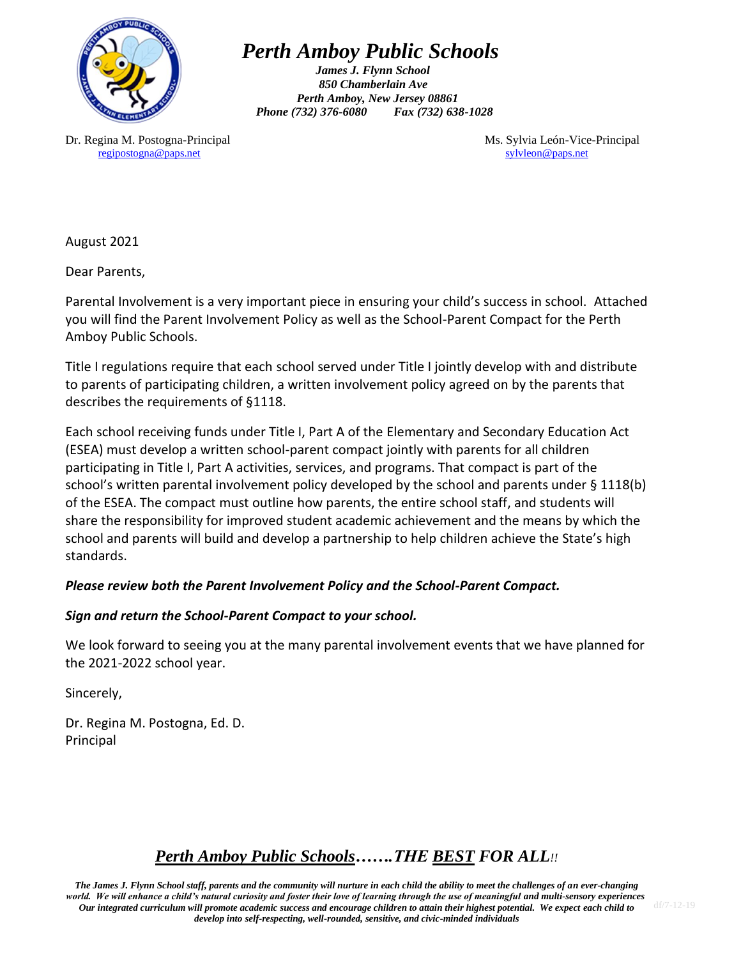

 *Perth Amboy Public Schools*

*James J. Flynn School 850 Chamberlain Ave Perth Amboy, New Jersey 08861 Phone (732) 376-6080 Fax (732) 638-1028*

Dr. Regina M. Postogna-Principal Ms. Sylvia León-Vice-Principal Ms. Sylvia León-Vice-Principal [regipostogna@paps.net](mailto:regipostogna@paps.net) [sylvleon@paps.net](mailto:sylvleon@paps.net)

August 2021

Dear Parents,

Parental Involvement is a very important piece in ensuring your child's success in school. Attached you will find the Parent Involvement Policy as well as the School-Parent Compact for the Perth Amboy Public Schools.

Title I regulations require that each school served under Title I jointly develop with and distribute to parents of participating children, a written involvement policy agreed on by the parents that describes the requirements of §1118.

Each school receiving funds under Title I, Part A of the Elementary and Secondary Education Act (ESEA) must develop a written school-parent compact jointly with parents for all children participating in Title I, Part A activities, services, and programs. That compact is part of the school's written parental involvement policy developed by the school and parents under § 1118(b) of the ESEA. The compact must outline how parents, the entire school staff, and students will share the responsibility for improved student academic achievement and the means by which the school and parents will build and develop a partnership to help children achieve the State's high standards.

### *Please review both the Parent Involvement Policy and the School-Parent Compact.*

### *Sign and return the School-Parent Compact to your school.*

We look forward to seeing you at the many parental involvement events that we have planned for the 2021-2022 school year.

Sincerely,

Dr. Regina M. Postogna, Ed. D. Principal

# *Perth Amboy Public Schools…….THE BEST FOR ALL!!*